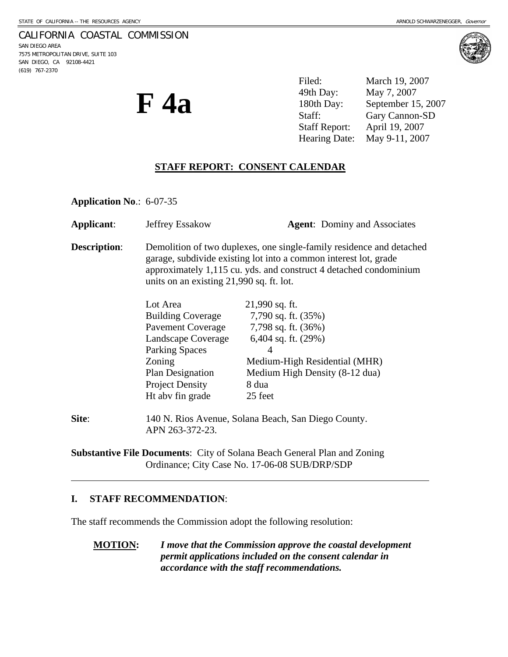#### CALIFORNIA COASTAL COMMISSION

SAN DIEGO AREA 7575 METROPOLITAN DRIVE, SUITE 103 SAN DIEGO, CA 92108-4421 (619) 767-2370



**F 4a** 

Filed: March 19, 2007 49th Day: May 7, 2007 180th Day: September 15, 2007 Staff: Gary Cannon-SD Staff Report: April 19, 2007 Hearing Date: May 9-11, 2007

## **STAFF REPORT: CONSENT CALENDAR**

**Application No**.: 6-07-35

| Applicant:          | Jeffrey Essakow                                                                                                                                                                                                                                           | <b>Agent:</b> Dominy and Associates                                                                                                                                                 |
|---------------------|-----------------------------------------------------------------------------------------------------------------------------------------------------------------------------------------------------------------------------------------------------------|-------------------------------------------------------------------------------------------------------------------------------------------------------------------------------------|
| <b>Description:</b> | Demolition of two duplexes, one single-family residence and detached<br>garage, subdivide existing lot into a common interest lot, grade<br>approximately 1,115 cu. yds. and construct 4 detached condominium<br>units on an existing 21,990 sq. ft. lot. |                                                                                                                                                                                     |
|                     | Lot Area<br><b>Building Coverage</b><br><b>Pavement Coverage</b><br>Landscape Coverage<br><b>Parking Spaces</b><br>Zoning<br>Plan Designation<br><b>Project Density</b><br>Ht aby fin grade                                                               | $21,990$ sq. ft.<br>7,790 sq. ft. (35%)<br>7,798 sq. ft. (36%)<br>6,404 sq. ft. $(29%)$<br>4<br>Medium-High Residential (MHR)<br>Medium High Density (8-12 dua)<br>8 dua<br>25 feet |
| Site:               | 140 N. Rios Avenue, Solana Beach, San Diego County.<br>APN 263-372-23.                                                                                                                                                                                    |                                                                                                                                                                                     |

**Substantive File Documents**: City of Solana Beach General Plan and Zoning Ordinance; City Case No. 17-06-08 SUB/DRP/SDP

#### **I. STAFF RECOMMENDATION**:

 $\overline{a}$ 

The staff recommends the Commission adopt the following resolution:

**MOTION:** *I move that the Commission approve the coastal development permit applications included on the consent calendar in accordance with the staff recommendations.*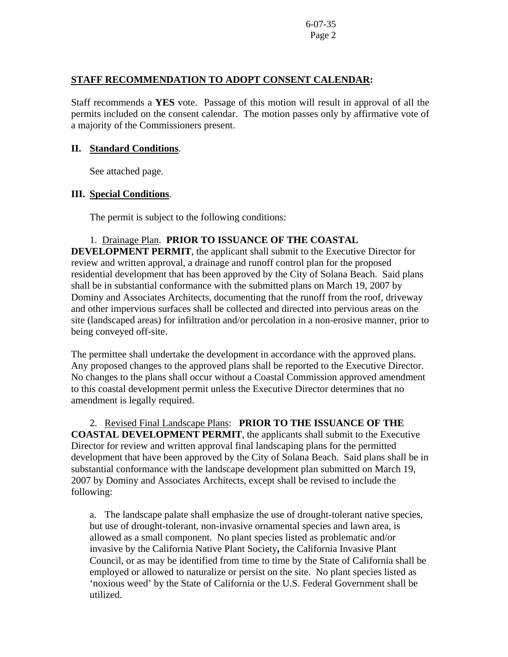### **STAFF RECOMMENDATION TO ADOPT CONSENT CALENDAR:**

Staff recommends a **YES** vote. Passage of this motion will result in approval of all the permits included on the consent calendar. The motion passes only by affirmative vote of a majority of the Commissioners present.

#### **II. Standard Conditions**.

See attached page.

### **III. Special Conditions**.

The permit is subject to the following conditions:

## 1. Drainage Plan. **PRIOR TO ISSUANCE OF THE COASTAL**

**DEVELOPMENT PERMIT**, the applicant shall submit to the Executive Director for review and written approval, a drainage and runoff control plan for the proposed residential development that has been approved by the City of Solana Beach. Said plans shall be in substantial conformance with the submitted plans on March 19, 2007 by Dominy and Associates Architects, documenting that the runoff from the roof, driveway and other impervious surfaces shall be collected and directed into pervious areas on the site (landscaped areas) for infiltration and/or percolation in a non-erosive manner, prior to being conveyed off-site.

The permittee shall undertake the development in accordance with the approved plans. Any proposed changes to the approved plans shall be reported to the Executive Director. No changes to the plans shall occur without a Coastal Commission approved amendment to this coastal development permit unless the Executive Director determines that no amendment is legally required.

### 2. Revised Final Landscape Plans: **PRIOR TO THE ISSUANCE OF THE**

**COASTAL DEVELOPMENT PERMIT**, the applicants shall submit to the Executive Director for review and written approval final landscaping plans for the permitted development that have been approved by the City of Solana Beach. Said plans shall be in substantial conformance with the landscape development plan submitted on March 19, 2007 by Dominy and Associates Architects, except shall be revised to include the following:

a. The landscape palate shall emphasize the use of drought-tolerant native species, but use of drought-tolerant, non-invasive ornamental species and lawn area, is allowed as a small component. No plant species listed as problematic and/or invasive by the California Native Plant Society**,** the California Invasive Plant Council, or as may be identified from time to time by the State of California shall be employed or allowed to naturalize or persist on the site. No plant species listed as 'noxious weed' by the State of California or the U.S. Federal Government shall be utilized.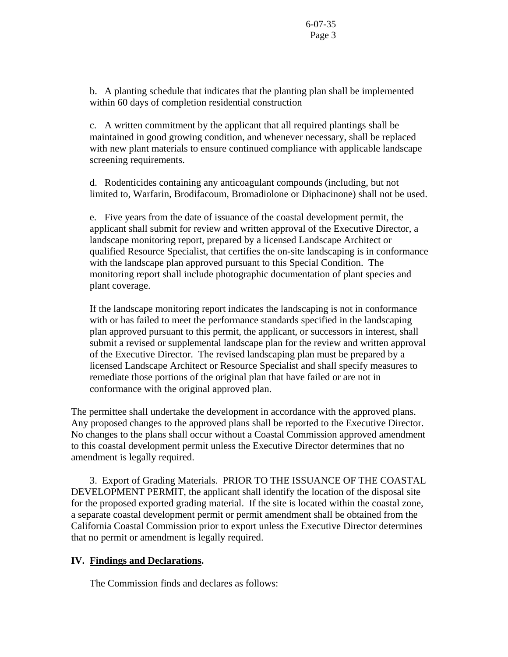b. A planting schedule that indicates that the planting plan shall be implemented within 60 days of completion residential construction

c. A written commitment by the applicant that all required plantings shall be maintained in good growing condition, and whenever necessary, shall be replaced with new plant materials to ensure continued compliance with applicable landscape screening requirements.

d. Rodenticides containing any anticoagulant compounds (including, but not limited to, Warfarin, Brodifacoum, Bromadiolone or Diphacinone) shall not be used.

e. Five years from the date of issuance of the coastal development permit, the applicant shall submit for review and written approval of the Executive Director, a landscape monitoring report, prepared by a licensed Landscape Architect or qualified Resource Specialist, that certifies the on-site landscaping is in conformance with the landscape plan approved pursuant to this Special Condition. The monitoring report shall include photographic documentation of plant species and plant coverage.

If the landscape monitoring report indicates the landscaping is not in conformance with or has failed to meet the performance standards specified in the landscaping plan approved pursuant to this permit, the applicant, or successors in interest, shall submit a revised or supplemental landscape plan for the review and written approval of the Executive Director. The revised landscaping plan must be prepared by a licensed Landscape Architect or Resource Specialist and shall specify measures to remediate those portions of the original plan that have failed or are not in conformance with the original approved plan.

The permittee shall undertake the development in accordance with the approved plans. Any proposed changes to the approved plans shall be reported to the Executive Director. No changes to the plans shall occur without a Coastal Commission approved amendment to this coastal development permit unless the Executive Director determines that no amendment is legally required.

 3. Export of Grading Materials. PRIOR TO THE ISSUANCE OF THE COASTAL DEVELOPMENT PERMIT, the applicant shall identify the location of the disposal site for the proposed exported grading material. If the site is located within the coastal zone, a separate coastal development permit or permit amendment shall be obtained from the California Coastal Commission prior to export unless the Executive Director determines that no permit or amendment is legally required.

# **IV. Findings and Declarations.**

The Commission finds and declares as follows: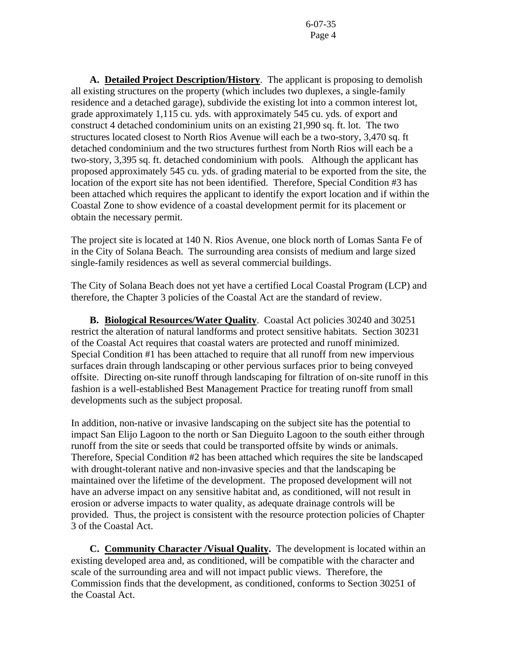**A. Detailed Project Description/History**. The applicant is proposing to demolish all existing structures on the property (which includes two duplexes, a single-family residence and a detached garage), subdivide the existing lot into a common interest lot, grade approximately 1,115 cu. yds. with approximately 545 cu. yds. of export and construct 4 detached condominium units on an existing 21,990 sq. ft. lot. The two structures located closest to North Rios Avenue will each be a two-story, 3,470 sq. ft detached condominium and the two structures furthest from North Rios will each be a two-story, 3,395 sq. ft. detached condominium with pools. Although the applicant has proposed approximately 545 cu. yds. of grading material to be exported from the site, the location of the export site has not been identified. Therefore, Special Condition #3 has been attached which requires the applicant to identify the export location and if within the Coastal Zone to show evidence of a coastal development permit for its placement or obtain the necessary permit.

The project site is located at 140 N. Rios Avenue, one block north of Lomas Santa Fe of in the City of Solana Beach. The surrounding area consists of medium and large sized single-family residences as well as several commercial buildings.

The City of Solana Beach does not yet have a certified Local Coastal Program (LCP) and therefore, the Chapter 3 policies of the Coastal Act are the standard of review.

 **B. Biological Resources/Water Quality**. Coastal Act policies 30240 and 30251 restrict the alteration of natural landforms and protect sensitive habitats. Section 30231 of the Coastal Act requires that coastal waters are protected and runoff minimized. Special Condition #1 has been attached to require that all runoff from new impervious surfaces drain through landscaping or other pervious surfaces prior to being conveyed offsite. Directing on-site runoff through landscaping for filtration of on-site runoff in this fashion is a well-established Best Management Practice for treating runoff from small developments such as the subject proposal.

In addition, non-native or invasive landscaping on the subject site has the potential to impact San Elijo Lagoon to the north or San Dieguito Lagoon to the south either through runoff from the site or seeds that could be transported offsite by winds or animals. Therefore, Special Condition #2 has been attached which requires the site be landscaped with drought-tolerant native and non-invasive species and that the landscaping be maintained over the lifetime of the development. The proposed development will not have an adverse impact on any sensitive habitat and, as conditioned, will not result in erosion or adverse impacts to water quality, as adequate drainage controls will be provided. Thus, the project is consistent with the resource protection policies of Chapter 3 of the Coastal Act.

 **C. Community Character /Visual Quality.** The development is located within an existing developed area and, as conditioned, will be compatible with the character and scale of the surrounding area and will not impact public views. Therefore, the Commission finds that the development, as conditioned, conforms to Section 30251 of the Coastal Act.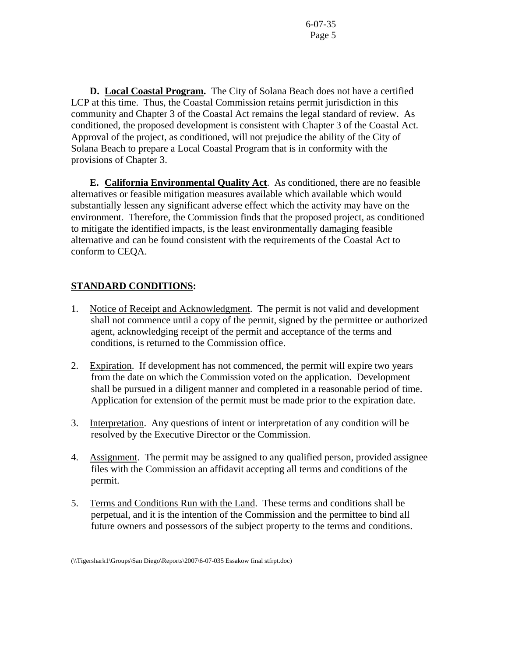**D. Local Coastal Program.** The City of Solana Beach does not have a certified LCP at this time. Thus, the Coastal Commission retains permit jurisdiction in this community and Chapter 3 of the Coastal Act remains the legal standard of review. As conditioned, the proposed development is consistent with Chapter 3 of the Coastal Act. Approval of the project, as conditioned, will not prejudice the ability of the City of Solana Beach to prepare a Local Coastal Program that is in conformity with the provisions of Chapter 3.

 **E. California Environmental Quality Act**. As conditioned, there are no feasible alternatives or feasible mitigation measures available which available which would substantially lessen any significant adverse effect which the activity may have on the environment. Therefore, the Commission finds that the proposed project, as conditioned to mitigate the identified impacts, is the least environmentally damaging feasible alternative and can be found consistent with the requirements of the Coastal Act to conform to CEQA.

# **STANDARD CONDITIONS:**

- 1. Notice of Receipt and Acknowledgment. The permit is not valid and development shall not commence until a copy of the permit, signed by the permittee or authorized agent, acknowledging receipt of the permit and acceptance of the terms and conditions, is returned to the Commission office.
- 2. Expiration. If development has not commenced, the permit will expire two years from the date on which the Commission voted on the application. Development shall be pursued in a diligent manner and completed in a reasonable period of time. Application for extension of the permit must be made prior to the expiration date.
- 3. Interpretation. Any questions of intent or interpretation of any condition will be resolved by the Executive Director or the Commission.
- 4. Assignment. The permit may be assigned to any qualified person, provided assignee files with the Commission an affidavit accepting all terms and conditions of the permit.
- 5. Terms and Conditions Run with the Land. These terms and conditions shall be perpetual, and it is the intention of the Commission and the permittee to bind all future owners and possessors of the subject property to the terms and conditions.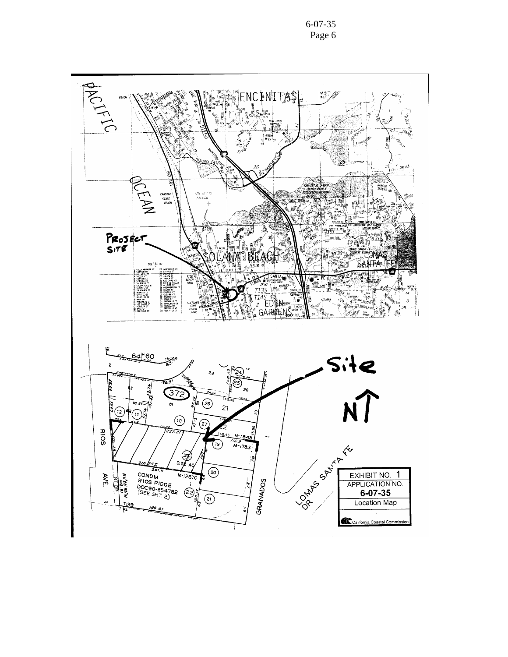